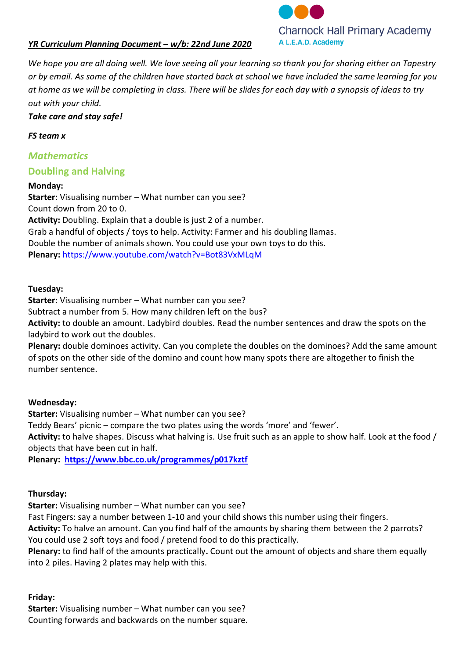



*We hope you are all doing well. We love seeing all your learning so thank you for sharing either on Tapestry or by email. As some of the children have started back at school we have included the same learning for you at home as we will be completing in class. There will be slides for each day with a synopsis of ideas to try out with your child.*

*Take care and stay safe!*

### *FS team x*

## *Mathematics*

## **Doubling and Halving**

### **Monday:**

**Starter:** Visualising number – What number can you see? Count down from 20 to 0. **Activity:** Doubling. Explain that a double is just 2 of a number. Grab a handful of objects / toys to help. Activity: Farmer and his doubling llamas. Double the number of animals shown. You could use your own toys to do this. **Plenary:** <https://www.youtube.com/watch?v=Bot83VxMLqM>

### **Tuesday:**

**Starter:** Visualising number – What number can you see?

Subtract a number from 5. How many children left on the bus?

**Activity:** to double an amount. Ladybird doubles. Read the number sentences and draw the spots on the ladybird to work out the doubles.

**Plenary:** double dominoes activity. Can you complete the doubles on the dominoes? Add the same amount of spots on the other side of the domino and count how many spots there are altogether to finish the number sentence.

## **Wednesday:**

**Starter:** Visualising number – What number can you see?

Teddy Bears' picnic – compare the two plates using the words 'more' and 'fewer'.

**Activity:** to halve shapes. Discuss what halving is. Use fruit such as an apple to show half. Look at the food / objects that have been cut in half.

**Plenary:<https://www.bbc.co.uk/programmes/p017kztf>**

## **Thursday:**

**Starter:** Visualising number – What number can you see?

Fast Fingers: say a number between 1-10 and your child shows this number using their fingers.

**Activity:** To halve an amount. Can you find half of the amounts by sharing them between the 2 parrots? You could use 2 soft toys and food / pretend food to do this practically.

**Plenary:** to find half of the amounts practically**.** Count out the amount of objects and share them equally into 2 piles. Having 2 plates may help with this.

## **Friday:**

**Starter:** Visualising number – What number can you see? Counting forwards and backwards on the number square.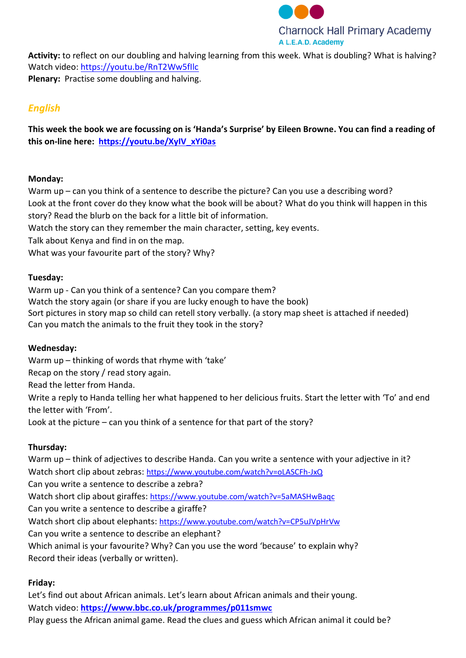

**Activity:** to reflect on our doubling and halving learning from this week. What is doubling? What is halving? Watch video:<https://youtu.be/RnT2Ww5fIlc> **Plenary:** Practise some doubling and halving.

# *English*

**This week the book we are focussing on is 'Handa's Surprise' by Eileen Browne. You can find a reading of this on-line here: [https://youtu.be/XyIV\\_xYi0as](https://youtu.be/XyIV_xYi0as)**

### **Monday:**

Warm up – can you think of a sentence to describe the picture? Can you use a describing word? Look at the front cover do they know what the book will be about? What do you think will happen in this story? Read the blurb on the back for a little bit of information.

Watch the story can they remember the main character, setting, key events.

Talk about Kenya and find in on the map.

What was your favourite part of the story? Why?

#### **Tuesday:**

Warm up - Can you think of a sentence? Can you compare them? Watch the story again (or share if you are lucky enough to have the book) Sort pictures in story map so child can retell story verbally. (a story map sheet is attached if needed) Can you match the animals to the fruit they took in the story?

## **Wednesday:**

Warm up – thinking of words that rhyme with 'take'

Recap on the story / read story again.

Read the letter from Handa.

Write a reply to Handa telling her what happened to her delicious fruits. Start the letter with 'To' and end the letter with 'From'.

Look at the picture – can you think of a sentence for that part of the story?

## **Thursday:**

Warm up – think of adjectives to describe Handa. Can you write a sentence with your adjective in it? Watch short clip about zebras: <https://www.youtube.com/watch?v=oLASCFh-JxQ> Can you write a sentence to describe a zebra? Watch short clip about giraffes: <https://www.youtube.com/watch?v=5aMASHwBaqc> Can you write a sentence to describe a giraffe? Watch short clip about elephants: <https://www.youtube.com/watch?v=CP5uJVpHrVw> Can you write a sentence to describe an elephant? Which animal is your favourite? Why? Can you use the word 'because' to explain why? Record their ideas (verbally or written).

## **Friday:**

Let's find out about African animals. Let's learn about African animals and their young. Watch video: **<https://www.bbc.co.uk/programmes/p011smwc>** Play guess the African animal game. Read the clues and guess which African animal it could be?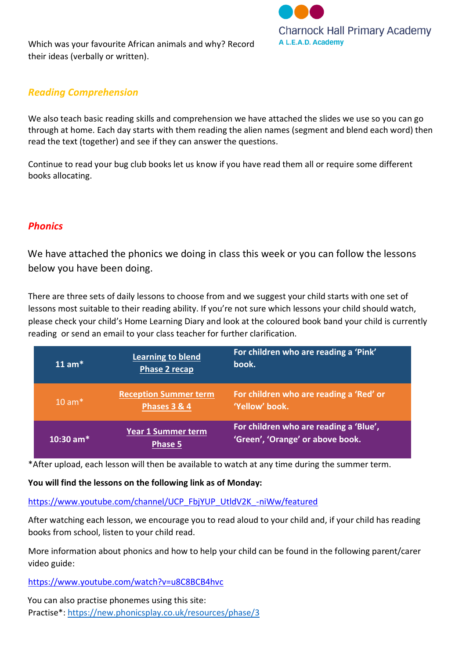Which was your favourite African animals and why? Record their ideas (verbally or written).



## *Reading Comprehension*

We also teach basic reading skills and comprehension we have attached the slides we use so you can go through at home. Each day starts with them reading the alien names (segment and blend each word) then read the text (together) and see if they can answer the questions.

Continue to read your bug club books let us know if you have read them all or require some different books allocating.

## *Phonics*

We have attached the phonics we doing in class this week or you can follow the lessons below you have been doing.

There are three sets of daily lessons to choose from and we suggest your child starts with one set of lessons most suitable to their reading ability. If you're not sure which lessons your child should watch, please check your child's Home Learning Diary and look at the coloured book band your child is currently reading or send an email to your class teacher for further clarification.

| $11$ am <sup>*</sup> | <b>Learning to blend</b><br><b>Phase 2 recap</b> | For children who are reading a 'Pink'<br>book.                             |
|----------------------|--------------------------------------------------|----------------------------------------------------------------------------|
| $10 \text{ am}$      | <b>Reception Summer term</b><br>Phases 3 & 4     | For children who are reading a 'Red' or<br>'Yellow' book.                  |
| $10:30$ am*          | Year 1 Summer term<br><b>Phase 5</b>             | For children who are reading a 'Blue',<br>'Green', 'Orange' or above book. |

\*After upload, each lesson will then be available to watch at any time during the summer term.

**You will find the lessons on the following link as of Monday:**

[https://www.youtube.com/channel/UCP\\_FbjYUP\\_UtldV2K\\_-niWw/featured](https://www.youtube.com/channel/UCP_FbjYUP_UtldV2K_-niWw/featured)

After watching each lesson, we encourage you to read aloud to your child and, if your child has reading books from school, listen to your child read.

More information about phonics and how to help your child can be found in the following parent/carer video guide:

<https://www.youtube.com/watch?v=u8C8BCB4hvc>

You can also practise phonemes using this site: Practise\*:<https://new.phonicsplay.co.uk/resources/phase/3>